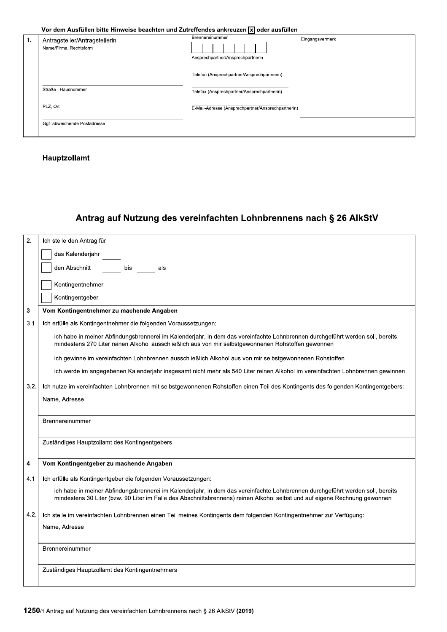Vor dem Ausfüllen bitte Hinweise beachten und Zutreffendes ankreuzen [x] oder ausfüllen

| 1. | Antragsteller/Antragstellerin<br>Name/Firma, Rechtsform | Brennereinummer                                    | Eingangsvermerk |
|----|---------------------------------------------------------|----------------------------------------------------|-----------------|
|    |                                                         | Ansprechpartner/Ansprechpartnerin                  |                 |
|    |                                                         | Telefon (Ansprechpartner/Ansprechpartnerin)        |                 |
|    | Straße, Hausnummer                                      | Telefax (Ansprechpartner/Ansprechpartnerin)        |                 |
|    | PLZ, Ort                                                | E-Mail-Adresse (Ansprechpartner/Ansprechpartnerin) |                 |
|    | Ggf. abweichende Postadresse                            |                                                    |                 |

## Hauptzollamt

# Antrag auf Nutzung des vereinfachten Lohnbrennens nach § 26 AlkStV

| $\overline{2}$ . | Ich stelle den Antrag für                                                                                                                                                                                                                                   |  |  |  |
|------------------|-------------------------------------------------------------------------------------------------------------------------------------------------------------------------------------------------------------------------------------------------------------|--|--|--|
|                  | das Kalenderjahr                                                                                                                                                                                                                                            |  |  |  |
|                  | den Abschnitt<br>bis<br>als                                                                                                                                                                                                                                 |  |  |  |
|                  | Kontingentnehmer                                                                                                                                                                                                                                            |  |  |  |
|                  | Kontingentgeber                                                                                                                                                                                                                                             |  |  |  |
| 3                | Vom Kontingentnehmer zu machende Angaben                                                                                                                                                                                                                    |  |  |  |
| 3.1              | Ich erfülle als Kontingentnehmer die folgenden Voraussetzungen:                                                                                                                                                                                             |  |  |  |
|                  | ich habe in meiner Abfindungsbrennerei im Kalenderjahr, in dem das vereinfachte Lohnbrennen durchgeführt werden soll, bereits<br>mindestens 270 Liter reinen Alkohol ausschließlich aus von mir selbstgewonnenen Rohstoffen gewonnen                        |  |  |  |
|                  | ich gewinne im vereinfachten Lohnbrennen ausschließlich Alkohol aus von mir selbstgewonnenen Rohstoffen                                                                                                                                                     |  |  |  |
|                  | ich werde im angegebenen Kalenderjahr insgesamt nicht mehr als 540 Liter reinen Alkohol im vereinfachten Lohnbrennen gewinnen                                                                                                                               |  |  |  |
| 3.2.             | Ich nutze im vereinfachten Lohnbrennen mit selbstgewonnenen Rohstoffen einen Teil des Kontingents des folgenden Kontingentgebers:                                                                                                                           |  |  |  |
|                  | Name, Adresse                                                                                                                                                                                                                                               |  |  |  |
|                  |                                                                                                                                                                                                                                                             |  |  |  |
|                  | Brennereinummer                                                                                                                                                                                                                                             |  |  |  |
|                  | Zuständiges Hauptzollamt des Kontingentgebers                                                                                                                                                                                                               |  |  |  |
| 4                | Vom Kontingentgeber zu machende Angaben                                                                                                                                                                                                                     |  |  |  |
| 4.1              | Ich erfülle als Kontingentgeber die folgenden Voraussetzungen:                                                                                                                                                                                              |  |  |  |
|                  | ich habe in meiner Abfindungsbrennerei im Kalenderjahr, in dem das vereinfachte Lohnbrennen durchgeführt werden soll, bereits<br>mindestens 30 Liter (bzw. 90 Liter im Falle des Abschnittsbrennens) reinen Alkohol selbst und auf eigene Rechnung gewonnen |  |  |  |
| 4.2.             | Ich stelle im vereinfachten Lohnbrennen einen Teil meines Kontingents dem folgenden Kontingentnehmer zur Verfügung:                                                                                                                                         |  |  |  |
|                  | Name, Adresse                                                                                                                                                                                                                                               |  |  |  |
|                  |                                                                                                                                                                                                                                                             |  |  |  |
|                  | Brennereinummer                                                                                                                                                                                                                                             |  |  |  |
|                  | Zuständiges Hauptzollamt des Kontingentnehmers                                                                                                                                                                                                              |  |  |  |
|                  |                                                                                                                                                                                                                                                             |  |  |  |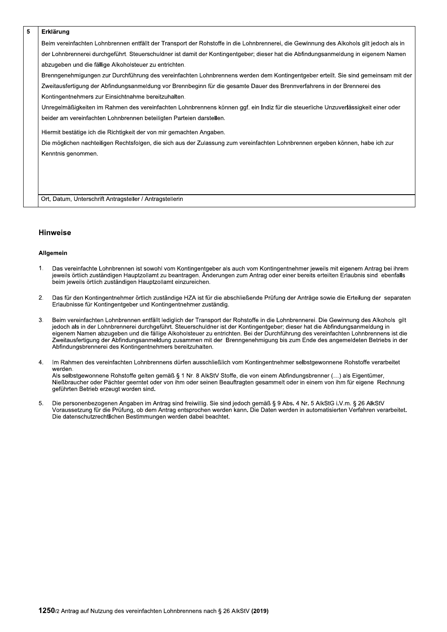#### 5 Erklärung

Beim vereinfachten Lohnbrennen entfällt der Transport der Rohstoffe in die Lohnbrennerei, die Gewinnung des Alkohols gilt jedoch als in der Lohnbrennerei durchgeführt. Steuerschuldner ist damit der Kontingentgeber; dieser hat die Abfindungsanmeldung in eigenem Namen abzugeben und die fällige Alkoholsteuer zu entrichten.

Brenngenehmigungen zur Durchführung des vereinfachten Lohnbrennens werden dem Kontingentgeber erteilt. Sie sind gemeinsam mit der Zweitausfertigung der Abfindungsanmeldung vor Brennbeginn für die gesamte Dauer des Brennverfahrens in der Brennerei des Kontingentnehmers zur Einsichtnahme bereitzuhalten.

Unregelmäßigkeiten im Rahmen des vereinfachten Lohnbrennens können ggf. ein Indiz für die steuerliche Unzuverlässigkeit einer oder beider am vereinfachten Lohnbrennen beteiligten Parteien darstellen.

Hiermit bestätige ich die Richtigkeit der von mir gemachten Angaben.

Die möglichen nachteiligen Rechtsfolgen, die sich aus der Zulassung zum vereinfachten Lohnbrennen ergeben können, habe ich zur Kenntnis genommen.

Ort, Datum, Unterschrift Antragsteller / Antragstellerin

### **Hinweise**

#### **Allgemein**

- $1.$ Das vereinfachte Lohnbrennen ist sowohl vom Kontingentgeber als auch vom Kontingentnehmer jeweils mit eigenem Antrag bei ihrem jeweils örtlich zuständigen Hauptzollamt zu beantragen. Änderungen zum Antrag oder einer bereits erteilten Erlaubnis sind ebenfalls beim jeweils örtlich zuständigen Hauptzollamt einzureichen.
- $\overline{2}$ . Das für den Kontingentnehmer örtlich zuständige HZA ist für die abschließende Prüfung der Anträge sowie die Erteilung der separaten Erlaubnisse für Kontingentgeber und Kontingentnehmer zuständig.
- 3. Beim vereinfachten Lohnbrennen entfällt lediglich der Transport der Rohstoffe in die Lohnbrennerei. Die Gewinnung des Alkohols gilt jedoch als in der Lohnbrennerei durchgeführt. Steuerschuldner ist der Kontingentgeber; dieser hat die Abfindungsanmeldung in eigenem Namen abzugeben und die fällige Alkoholsteuer zu entrichten. Bei der Durchführung des vereinfachten Lohnbrennens ist die Zweitausfertigung der Abfindungsanmeldung zusammen mit der Brenngenehmigung bis zum Ende des angemeldeten Betriebs in der Abfindungsbrennerei des Kontingentnehmers bereitzuhalten.
- $\overline{4}$ . Im Rahmen des vereinfachten Lohnbrennens dürfen ausschließlich vom Kontingentnehmer selbstgewonnene Rohstoffe verarbeitet werden.

Als selbstgewonnene Rohstoffe gelten gemäß § 1 Nr. 8 AlkStV Stoffe, die von einem Abfindungsbrenner (...) als Eigentümer, Nießbraucher oder Pächter geerntet oder von ihm oder seinen Beauftragten gesammelt oder in einem von ihm für eigene Rechnung geführten Betrieb erzeugt worden sind.

Die personenbezogenen Angaben im Antrag sind freiwillig. Sie sind jedoch gemäß § 9 Abs. 4 Nr. 5 AlkStG i.V.m. § 26 AlkStV 5. Voraussetzung für die Prüfung, ob dem Antrag entsprochen werden kann. Die Daten werden in automatisierten Verfahren verarbeitet. Die datenschutzrechtlichen Bestimmungen werden dabei beachtet.